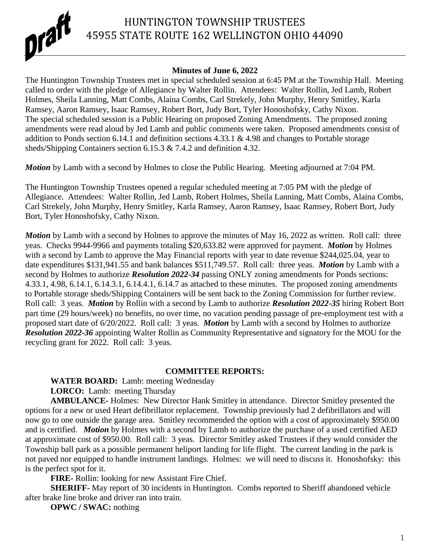

# HUNTINGTON TOWNSHIP TRUSTEES 45955 STATE ROUTE 162 WELLINGTON OHIO 44090

### **Minutes of June 6, 2022**

The Huntington Township Trustees met in special scheduled session at 6:45 PM at the Township Hall. Meeting called to order with the pledge of Allegiance by Walter Rollin. Attendees: Walter Rollin, Jed Lamb, Robert Holmes, Sheila Lanning, Matt Combs, Alaina Combs, Carl Strekely, John Murphy, Henry Smitley, Karla Ramsey, Aaron Ramsey, Isaac Ramsey, Robert Bort, Judy Bort, Tyler Honoshofsky, Cathy Nixon. The special scheduled session is a Public Hearing on proposed Zoning Amendments. The proposed zoning amendments were read aloud by Jed Lamb and public comments were taken. Proposed amendments consist of addition to Ponds section 6.14.1 and definition sections 4.33.1 & 4.98 and changes to Portable storage sheds/Shipping Containers section 6.15.3 & 7.4.2 and definition 4.32.

*Motion* by Lamb with a second by Holmes to close the Public Hearing. Meeting adjourned at 7:04 PM.

The Huntington Township Trustees opened a regular scheduled meeting at 7:05 PM with the pledge of Allegiance. Attendees: Walter Rollin, Jed Lamb, Robert Holmes, Sheila Lanning, Matt Combs, Alaina Combs, Carl Strekely, John Murphy, Henry Smitley, Karla Ramsey, Aaron Ramsey, Isaac Ramsey, Robert Bort, Judy Bort, Tyler Honoshofsky, Cathy Nixon.

*Motion* by Lamb with a second by Holmes to approve the minutes of May 16, 2022 as written. Roll call: three yeas. Checks 9944-9966 and payments totaling \$20,633.82 were approved for payment. *Motion* by Holmes with a second by Lamb to approve the May Financial reports with year to date revenue \$244,025.04, year to date expenditures \$131,941.55 and bank balances \$511,749.57. Roll call: three yeas. *Motion* by Lamb with a second by Holmes to authorize *Resolution 2022-34* passing ONLY zoning amendments for Ponds sections: 4.33.1, 4.98, 6.14.1, 6.14.3.1, 6.14.4.1, 6.14.7 as attached to these minutes. The proposed zoning amendments to Portable storage sheds/Shipping Containers will be sent back to the Zoning Commission for further review. Roll call: 3 yeas. *Motion* by Rollin with a second by Lamb to authorize *Resolution 2022-35* hiring Robert Bort part time (29 hours/week) no benefits, no over time, no vacation pending passage of pre-employment test with a proposed start date of 6/20/2022. Roll call: 3 yeas. *Motion* by Lamb with a second by Holmes to authorize *Resolution 2022-36* appointing Walter Rollin as Community Representative and signatory for the MOU for the recycling grant for 2022. Roll call: 3 yeas.

## **COMMITTEE REPORTS:**

**WATER BOARD:** Lamb: meeting Wednesday

LORCO: Lamb: meeting Thursday

**AMBULANCE-** Holmes: New Director Hank Smitley in attendance. Director Smitley presented the options for a new or used Heart defibrillator replacement. Township previously had 2 defibrillators and will now go to one outside the garage area. Smitley recommended the option with a cost of approximately \$950.00 and is certified. *Motion* by Holmes with a second by Lamb to authorize the purchase of a used certified AED at approximate cost of \$950.00. Roll call: 3 yeas. Director Smitley asked Trustees if they would consider the Township ball park as a possible permanent heliport landing for life flight. The current landing in the park is not paved nor equipped to handle instrument landings. Holmes: we will need to discuss it. Honoshofsky: this is the perfect spot for it.

**FIRE-** Rollin: looking for new Assistant Fire Chief.

**SHERIFF-** May report of 30 incidents in Huntington. Combs reported to Sheriff abandoned vehicle after brake line broke and driver ran into train.

**OPWC / SWAC:** nothing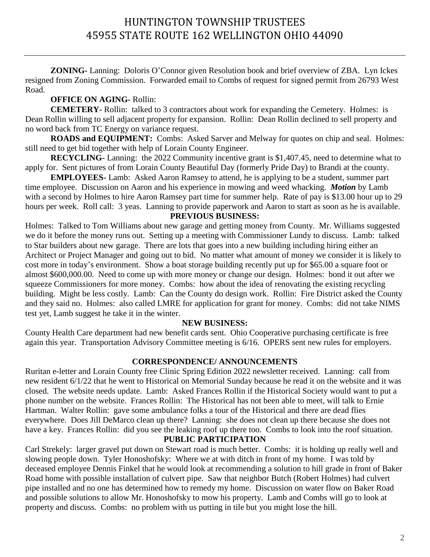# HUNTINGTON TOWNSHIP TRUSTEES 45955 STATE ROUTE 162 WELLINGTON OHIO 44090

**ZONING-** Lanning: Doloris O'Connor given Resolution book and brief overview of ZBA. Lyn Ickes resigned from Zoning Commission. Forwarded email to Combs of request for signed permit from 26793 West Road.

### **OFFICE ON AGING-** Rollin:

**CEMETERY-** Rollin: talked to 3 contractors about work for expanding the Cemetery. Holmes: is Dean Rollin willing to sell adjacent property for expansion. Rollin: Dean Rollin declined to sell property and no word back from TC Energy on variance request.

**ROADS and EQUIPMENT:** Combs: Asked Sarver and Melway for quotes on chip and seal. Holmes: still need to get bid together with help of Lorain County Engineer.

**RECYCLING-** Lanning: the 2022 Community incentive grant is \$1,407.45, need to determine what to apply for. Sent pictures of from Lorain County Beautiful Day (formerly Pride Day) to Brandi at the county.

**EMPLOYEES-** Lamb: Asked Aaron Ramsey to attend, he is applying to be a student, summer part time employee. Discussion on Aaron and his experience in mowing and weed whacking. *Motion* by Lamb with a second by Holmes to hire Aaron Ramsey part time for summer help. Rate of pay is \$13.00 hour up to 29 hours per week. Roll call: 3 yeas. Lanning to provide paperwork and Aaron to start as soon as he is available.

#### **PREVIOUS BUSINESS:**

Holmes: Talked to Tom Williams about new garage and getting money from County. Mr. Williams suggested we do it before the money runs out. Setting up a meeting with Commissioner Lundy to discuss. Lamb: talked to Star builders about new garage. There are lots that goes into a new building including hiring either an Architect or Project Manager and going out to bid. No matter what amount of money we consider it is likely to cost more in today's environment. Show a boat storage building recently put up for \$65.00 a square foot or almost \$600,000.00. Need to come up with more money or change our design. Holmes: bond it out after we squeeze Commissioners for more money. Combs: how about the idea of renovating the existing recycling building. Might be less costly. Lamb: Can the County do design work. Rollin: Fire District asked the County and they said no. Holmes: also called LMRE for application for grant for money. Combs: did not take NIMS test yet, Lamb suggest he take it in the winter.

#### **NEW BUSINESS:**

County Health Care department had new benefit cards sent. Ohio Cooperative purchasing certificate is free again this year. Transportation Advisory Committee meeting is 6/16. OPERS sent new rules for employers.

#### **CORRESPONDENCE/ ANNOUNCEMENTS**

Ruritan e-letter and Lorain County free Clinic Spring Edition 2022 newsletter received. Lanning: call from new resident 6/1/22 that he went to Historical on Memorial Sunday because he read it on the website and it was closed. The website needs update. Lamb: Asked Frances Rollin if the Historical Society would want to put a phone number on the website. Frances Rollin: The Historical has not been able to meet, will talk to Ernie Hartman. Walter Rollin: gave some ambulance folks a tour of the Historical and there are dead flies everywhere. Does Jill DeMarco clean up there? Lanning: she does not clean up there because she does not have a key. Frances Rollin: did you see the leaking roof up there too. Combs to look into the roof situation.

## **PUBLIC PARTICIPATION**

Carl Strekely: larger gravel put down on Stewart road is much better. Combs: it is holding up really well and slowing people down. Tyler Honoshofsky: Where we at with ditch in front of my home. I was told by deceased employee Dennis Finkel that he would look at recommending a solution to hill grade in front of Baker Road home with possible installation of culvert pipe. Saw that neighbor Butch (Robert Holmes) had culvert pipe installed and no one has determined how to remedy my home. Discussion on water flow on Baker Road and possible solutions to allow Mr. Honoshofsky to mow his property. Lamb and Combs will go to look at property and discuss. Combs: no problem with us putting in tile but you might lose the hill.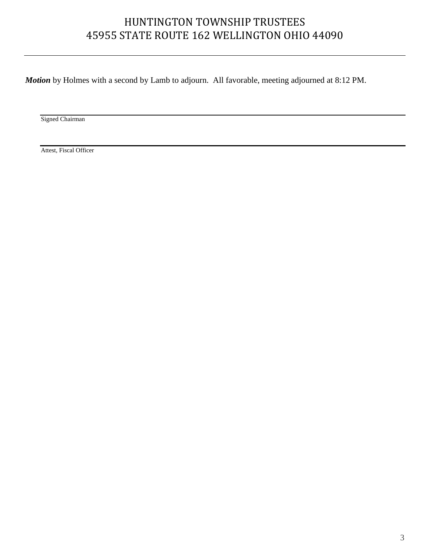# HUNTINGTON TOWNSHIP TRUSTEES 45955 STATE ROUTE 162 WELLINGTON OHIO 44090

*Motion* by Holmes with a second by Lamb to adjourn. All favorable, meeting adjourned at 8:12 PM.

Signed Chairman

Attest, Fiscal Officer